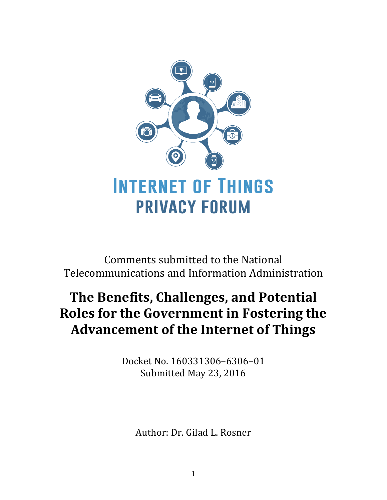

Comments submitted to the National Telecommunications and Information Administration

## **The Benefits, Challenges, and Potential Roles for the Government in Fostering the Advancement of the Internet of Things**

Docket No. 160331306–6306–01 Submitted May 23, 2016

Author: Dr. Gilad L. Rosner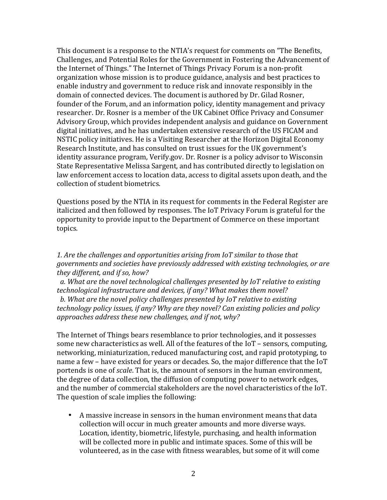This document is a response to the NTIA's request for comments on "The Benefits, Challenges, and Potential Roles for the Government in Fostering the Advancement of the Internet of Things." The Internet of Things Privacy Forum is a non-profit organization whose mission is to produce guidance, analysis and best practices to enable industry and government to reduce risk and innovate responsibly in the domain of connected devices. The document is authored by Dr. Gilad Rosner, founder of the Forum, and an information policy, identity management and privacy researcher. Dr. Rosner is a member of the UK Cabinet Office Privacy and Consumer Advisory Group, which provides independent analysis and guidance on Government digital initiatives, and he has undertaken extensive research of the US FICAM and NSTIC policy initiatives. He is a Visiting Researcher at the Horizon Digital Economy Research Institute, and has consulted on trust issues for the UK government's identity assurance program, Verify.gov. Dr. Rosner is a policy advisor to Wisconsin State Representative Melissa Sargent, and has contributed directly to legislation on law enforcement access to location data, access to digital assets upon death, and the collection of student biometrics.

Questions posed by the NTIA in its request for comments in the Federal Register are italicized and then followed by responses. The IoT Privacy Forum is grateful for the opportunity to provide input to the Department of Commerce on these important topics.

1. Are the challenges and opportunities arising from IoT similar to those that *governments and societies have previously addressed with existing technologies, or are they different, and if so, how?* 

a. What are the novel technological challenges presented by IoT relative to existing technological infrastructure and devices, if any? What makes them novel?

*b.* What are the novel policy challenges presented by IoT relative to existing *technology policy issues, if any? Why are they novel? Can existing policies and policy* approaches address these new challenges, and if not, why?

The Internet of Things bears resemblance to prior technologies, and it possesses some new characteristics as well. All of the features of the IoT - sensors, computing, networking, miniaturization, reduced manufacturing cost, and rapid prototyping, to name a few – have existed for years or decades. So, the major difference that the IoT portends is one of *scale*. That is, the amount of sensors in the human environment, the degree of data collection, the diffusion of computing power to network edges, and the number of commercial stakeholders are the novel characteristics of the IoT. The question of scale implies the following:

• A massive increase in sensors in the human environment means that data collection will occur in much greater amounts and more diverse ways. Location, identity, biometric, lifestyle, purchasing, and health information will be collected more in public and intimate spaces. Some of this will be volunteered, as in the case with fitness wearables, but some of it will come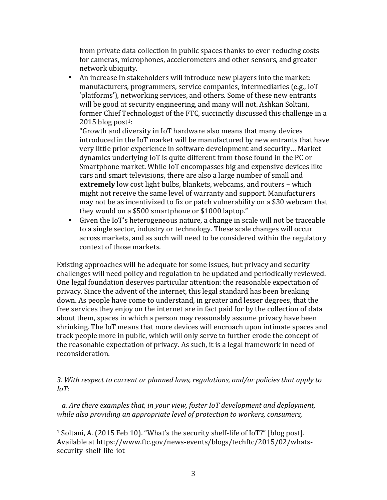from private data collection in public spaces thanks to ever-reducing costs for cameras, microphones, accelerometers and other sensors, and greater network ubiquity.

• An increase in stakeholders will introduce new players into the market: manufacturers, programmers, service companies, intermediaries (e.g., IoT) 'platforms'), networking services, and others. Some of these new entrants will be good at security engineering, and many will not. Ashkan Soltani, former Chief Technologist of the FTC, succinctly discussed this challenge in a  $2015$  blog post<sup>1</sup>:

"Growth and diversity in IoT hardware also means that many devices introduced in the IoT market will be manufactured by new entrants that have very little prior experience in software development and security... Market dynamics underlying IoT is quite different from those found in the PC or Smartphone market. While IoT encompasses big and expensive devices like cars and smart televisions, there are also a large number of small and **extremely** low cost light bulbs, blankets, webcams, and routers - which might not receive the same level of warranty and support. Manufacturers may not be as incentivized to fix or patch vulnerability on a \$30 webcam that they would on a \$500 smartphone or \$1000 laptop."

• Given the IoT's heterogeneous nature, a change in scale will not be traceable to a single sector, industry or technology. These scale changes will occur across markets, and as such will need to be considered within the regulatory context of those markets.

Existing approaches will be adequate for some issues, but privacy and security challenges will need policy and regulation to be updated and periodically reviewed. One legal foundation deserves particular attention: the reasonable expectation of privacy. Since the advent of the internet, this legal standard has been breaking down. As people have come to understand, in greater and lesser degrees, that the free services they enjoy on the internet are in fact paid for by the collection of data about them, spaces in which a person may reasonably assume privacy have been shrinking. The IoT means that more devices will encroach upon intimate spaces and track people more in public, which will only serve to further erode the concept of the reasonable expectation of privacy. As such, it is a legal framework in need of reconsideration.

*3.* With respect to current or planned laws, regulations, and/or policies that apply to *IoT:* 

a. Are there examples that, in your view, foster IoT development and deployment, *while also providing an appropriate level of protection to workers, consumers,* 

 

<sup>&</sup>lt;sup>1</sup> Soltani, A. (2015 Feb 10). "What's the security shelf-life of IoT?" [blog post]. Available at https://www.ftc.gov/news-events/blogs/techftc/2015/02/whatssecurity-shelf-life-iot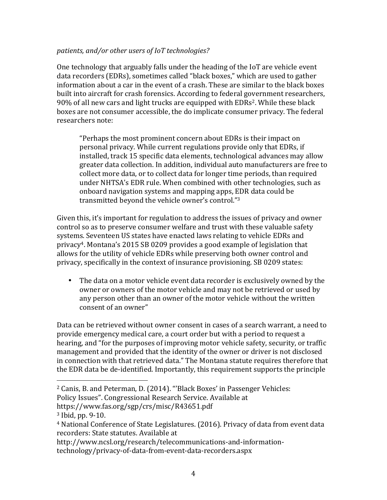## patients, and/or other users of IoT technologies?

One technology that arguably falls under the heading of the IoT are vehicle event data recorders (EDRs), sometimes called "black boxes," which are used to gather information about a car in the event of a crash. These are similar to the black boxes built into aircraft for crash forensics. According to federal government researchers, 90% of all new cars and light trucks are equipped with EDRs<sup>2</sup>. While these black boxes are not consumer accessible, the do implicate consumer privacy. The federal researchers note:

"Perhaps the most prominent concern about EDRs is their impact on personal privacy. While current regulations provide only that EDRs, if installed, track 15 specific data elements, technological advances may allow greater data collection. In addition, individual auto manufacturers are free to collect more data, or to collect data for longer time periods, than required under NHTSA's EDR rule. When combined with other technologies, such as onboard navigation systems and mapping apps, EDR data could be transmitted beyond the vehicle owner's control."3

Given this, it's important for regulation to address the issues of privacy and owner control so as to preserve consumer welfare and trust with these valuable safety systems. Seventeen US states have enacted laws relating to vehicle EDRs and privacy<sup>4</sup>. Montana's 2015 SB 0209 provides a good example of legislation that allows for the utility of vehicle EDRs while preserving both owner control and privacy, specifically in the context of insurance provisioning. SB 0209 states:

• The data on a motor vehicle event data recorder is exclusively owned by the owner or owners of the motor vehicle and may not be retrieved or used by any person other than an owner of the motor vehicle without the written consent of an owner"

Data can be retrieved without owner consent in cases of a search warrant, a need to provide emergency medical care, a court order but with a period to request a hearing, and "for the purposes of improving motor vehicle safety, security, or traffic management and provided that the identity of the owner or driver is not disclosed in connection with that retrieved data." The Montana statute requires therefore that the EDR data be de-identified. Importantly, this requirement supports the principle

Policy Issues". Congressional Research Service. Available at

https://www.fas.org/sgp/crs/misc/R43651.pdf

 

http://www.ncsl.org/research/telecommunications-and-informationtechnology/privacy-of-data-from-event-data-recorders.aspx

<sup>&</sup>lt;sup>2</sup> Canis, B. and Peterman, D. (2014). "'Black Boxes' in Passenger Vehicles:

 $3$  Ibid, pp. 9-10.

<sup>&</sup>lt;sup>4</sup> National Conference of State Legislatures. (2016). Privacy of data from event data recorders: State statutes. Available at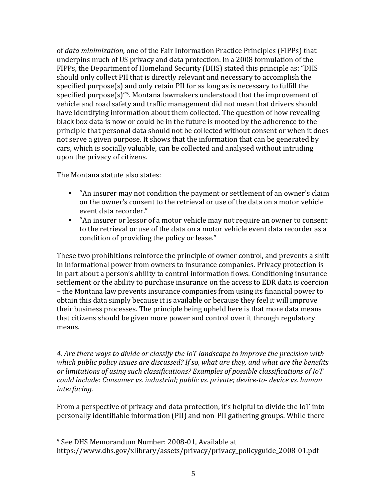of *data minimization*, one of the Fair Information Practice Principles (FIPPs) that underpins much of US privacy and data protection. In a 2008 formulation of the FIPPs, the Department of Homeland Security (DHS) stated this principle as: "DHS should only collect PII that is directly relevant and necessary to accomplish the specified purpose(s) and only retain PII for as long as is necessary to fulfill the specified purpose(s)"<sup>5</sup>. Montana lawmakers understood that the improvement of vehicle and road safety and traffic management did not mean that drivers should have identifying information about them collected. The question of how revealing black box data is now or could be in the future is mooted by the adherence to the principle that personal data should not be collected without consent or when it does not serve a given purpose. It shows that the information that can be generated by cars, which is socially valuable, can be collected and analysed without intruding upon the privacy of citizens.

The Montana statute also states:

- "An insurer may not condition the payment or settlement of an owner's claim on the owner's consent to the retrieval or use of the data on a motor vehicle event data recorder."
- "An insurer or lessor of a motor vehicle may not require an owner to consent to the retrieval or use of the data on a motor vehicle event data recorder as a condition of providing the policy or lease."

These two prohibitions reinforce the principle of owner control, and prevents a shift in informational power from owners to insurance companies. Privacy protection is in part about a person's ability to control information flows. Conditioning insurance settlement or the ability to purchase insurance on the access to EDR data is coercion – the Montana law prevents insurance companies from using its financial power to obtain this data simply because it is available or because they feel it will improve their business processes. The principle being upheld here is that more data means that citizens should be given more power and control over it through regulatory means.

4. Are there ways to divide or classify the IoT landscape to improve the precision with which public policy issues are discussed? If so, what are they, and what are the benefits or limitations of using such classifications? Examples of possible classifications of IoT *could include: Consumer vs. industrial; public vs. private; device-to- device vs. human interfacing.*

From a perspective of privacy and data protection, it's helpful to divide the IoT into personally identifiable information (PII) and non-PII gathering groups. While there

 

<sup>&</sup>lt;sup>5</sup> See DHS Memorandum Number: 2008-01, Available at

https://www.dhs.gov/xlibrary/assets/privacy/privacy\_policyguide\_2008-01.pdf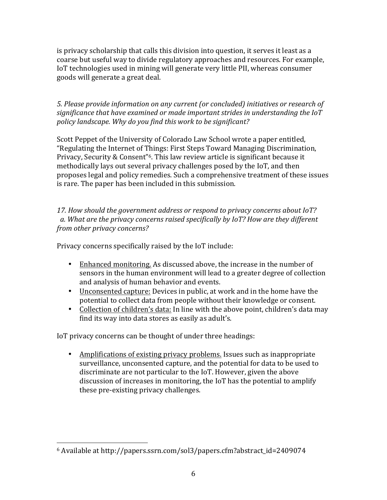is privacy scholarship that calls this division into question, it serves it least as a coarse but useful way to divide regulatory approaches and resources. For example, IoT technologies used in mining will generate very little PII, whereas consumer goods will generate a great deal.

5. Please provide information on any current (or concluded) initiatives or research of significance that have examined or made important strides in understanding the IoT policy landscape. Why do you find this work to be significant?

Scott Peppet of the University of Colorado Law School wrote a paper entitled, "Regulating the Internet of Things: First Steps Toward Managing Discrimination, Privacy, Security & Consent<sup>"6</sup>. This law review article is significant because it methodically lays out several privacy challenges posed by the IoT, and then proposes legal and policy remedies. Such a comprehensive treatment of these issues is rare. The paper has been included in this submission.

17. How should the government address or respond to privacy concerns about IoT? a. What are the privacy concerns raised specifically by IoT? How are they different *from other privacy concerns?*

Privacy concerns specifically raised by the IoT include:

- Enhanced monitoring. As discussed above, the increase in the number of sensors in the human environment will lead to a greater degree of collection and analysis of human behavior and events.
- Unconsented capture: Devices in public, at work and in the home have the potential to collect data from people without their knowledge or consent.
- Collection of children's data: In line with the above point, children's data may find its way into data stores as easily as adult's.

IoT privacy concerns can be thought of under three headings:

• Amplifications of existing privacy problems. Issues such as inappropriate surveillance, unconsented capture, and the potential for data to be used to discriminate are not particular to the IoT. However, given the above discussion of increases in monitoring, the IoT has the potential to amplify these pre-existing privacy challenges.

  $6$  Available at http://papers.ssrn.com/sol3/papers.cfm?abstract\_id=2409074